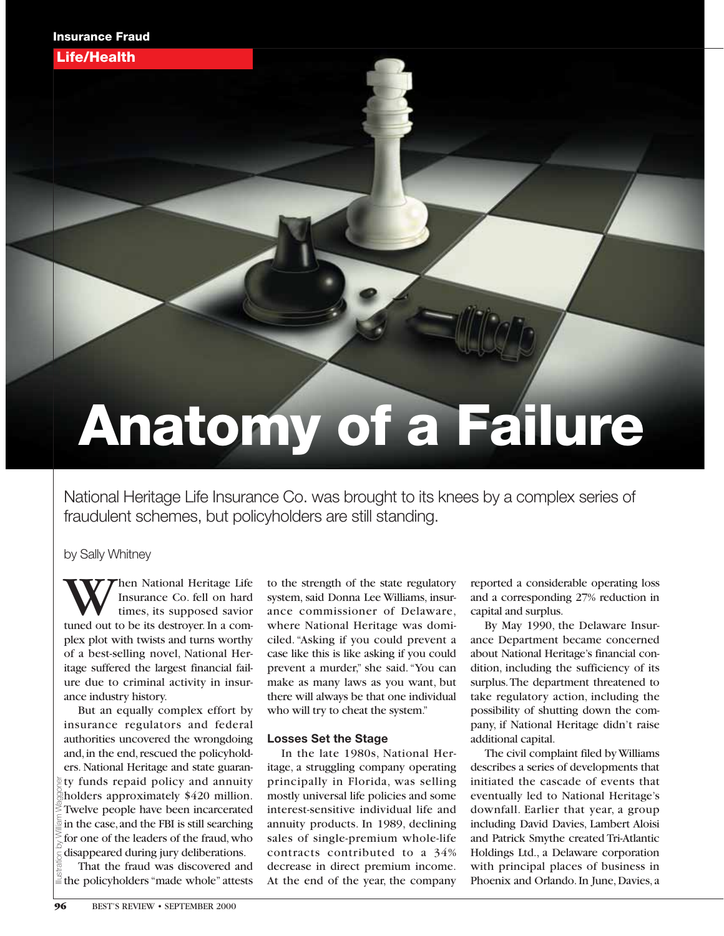Life/Health

# Anatomy of a Failure

National Heritage Life Insurance Co. was brought to its knees by a complex series of fraudulent schemes, but policyholders are still standing.

by Sally Whitney

When National Heritage Life<br>Insurance Co. fell on hard<br>timed out to be its destroyer. In a com-Insurance Co. fell on hard times, its supposed savior plex plot with twists and turns worthy of a best-selling novel, National Heritage suffered the largest financial failure due to criminal activity in insurance industry history.

But an equally complex effort by insurance regulators and federal authorities uncovered the wrongdoing and, in the end, rescued the policyholders. National Heritage and state guaran- $\bar{p}$  ty funds repaid policy and annuity holders approximately \$420 million. Twelve people have been incarcerated in the case,and the FBI is still searching for one of the leaders of the fraud,who disappeared during jury deliberations. Illustration by William Waggoner

That the fraud was discovered and  $\ddot{\equiv}$  the policyholders "made whole" attests to the strength of the state regulatory system, said Donna Lee Williams, insurance commissioner of Delaware, where National Heritage was domiciled."Asking if you could prevent a case like this is like asking if you could prevent a murder," she said."You can make as many laws as you want, but there will always be that one individual who will try to cheat the system."

#### **Losses Set the Stage**

In the late 1980s, National Heritage, a struggling company operating principally in Florida, was selling mostly universal life policies and some interest-sensitive individual life and annuity products. In 1989, declining sales of single-premium whole-life contracts contributed to a 34% decrease in direct premium income. At the end of the year, the company reported a considerable operating loss and a corresponding 27% reduction in capital and surplus.

By May 1990, the Delaware Insurance Department became concerned about National Heritage's financial condition, including the sufficiency of its surplus.The department threatened to take regulatory action, including the possibility of shutting down the company, if National Heritage didn't raise additional capital.

The civil complaint filed by Williams describes a series of developments that initiated the cascade of events that eventually led to National Heritage's downfall. Earlier that year, a group including David Davies, Lambert Aloisi and Patrick Smythe created Tri-Atlantic Holdings Ltd., a Delaware corporation with principal places of business in Phoenix and Orlando. In June, Davies, a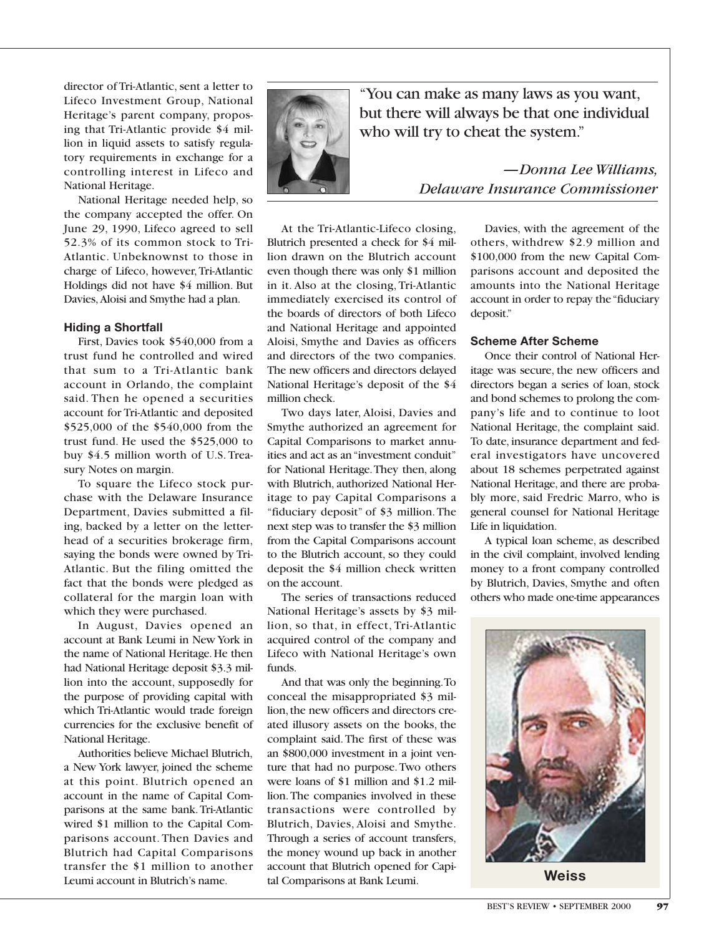director of Tri-Atlantic, sent a letter to Lifeco Investment Group, National Heritage's parent company, proposing that Tri-Atlantic provide \$4 million in liquid assets to satisfy regulatory requirements in exchange for a controlling interest in Lifeco and National Heritage.

National Heritage needed help, so the company accepted the offer. On June 29, 1990, Lifeco agreed to sell 52.3% of its common stock to Tri-Atlantic. Unbeknownst to those in charge of Lifeco, however,Tri-Atlantic Holdings did not have \$4 million. But Davies,Aloisi and Smythe had a plan.

#### **Hiding a Shortfall**

First, Davies took \$540,000 from a trust fund he controlled and wired that sum to a Tri-Atlantic bank account in Orlando, the complaint said. Then he opened a securities account for Tri-Atlantic and deposited \$525,000 of the \$540,000 from the trust fund. He used the \$525,000 to buy \$4.5 million worth of U.S. Treasury Notes on margin.

To square the Lifeco stock purchase with the Delaware Insurance Department, Davies submitted a filing, backed by a letter on the letterhead of a securities brokerage firm, saying the bonds were owned by Tri-Atlantic. But the filing omitted the fact that the bonds were pledged as collateral for the margin loan with which they were purchased.

In August, Davies opened an account at Bank Leumi in New York in the name of National Heritage.He then had National Heritage deposit \$3.3 million into the account, supposedly for the purpose of providing capital with which Tri-Atlantic would trade foreign currencies for the exclusive benefit of National Heritage.

Authorities believe Michael Blutrich, a New York lawyer, joined the scheme at this point. Blutrich opened an account in the name of Capital Comparisons at the same bank.Tri-Atlantic wired \$1 million to the Capital Comparisons account. Then Davies and Blutrich had Capital Comparisons transfer the \$1 million to another Leumi account in Blutrich's name.



"You can make as many laws as you want, but there will always be that one individual who will try to cheat the system."

At the Tri-Atlantic-Lifeco closing, Blutrich presented a check for \$4 million drawn on the Blutrich account even though there was only \$1 million in it. Also at the closing, Tri-Atlantic immediately exercised its control of the boards of directors of both Lifeco and National Heritage and appointed Aloisi, Smythe and Davies as officers and directors of the two companies. The new officers and directors delayed National Heritage's deposit of the \$4 million check.

Two days later, Aloisi, Davies and Smythe authorized an agreement for Capital Comparisons to market annuities and act as an "investment conduit" for National Heritage.They then, along with Blutrich, authorized National Heritage to pay Capital Comparisons a "fiduciary deposit" of \$3 million. The next step was to transfer the \$3 million from the Capital Comparisons account to the Blutrich account, so they could deposit the \$4 million check written on the account.

The series of transactions reduced National Heritage's assets by \$3 million, so that, in effect, Tri-Atlantic acquired control of the company and Lifeco with National Heritage's own funds.

And that was only the beginning.To conceal the misappropriated \$3 million, the new officers and directors created illusory assets on the books, the complaint said.The first of these was an \$800,000 investment in a joint venture that had no purpose.Two others were loans of \$1 million and \$1.2 million.The companies involved in these transactions were controlled by Blutrich, Davies, Aloisi and Smythe. Through a series of account transfers, the money wound up back in another account that Blutrich opened for Capital Comparisons at Bank Leumi.

*—Donna Lee Williams, Delaware Insurance Commissioner* 

> Davies, with the agreement of the others, withdrew \$2.9 million and \$100,000 from the new Capital Comparisons account and deposited the amounts into the National Heritage account in order to repay the "fiduciary deposit."

#### **Scheme After Scheme**

Once their control of National Heritage was secure, the new officers and directors began a series of loan, stock and bond schemes to prolong the company's life and to continue to loot National Heritage, the complaint said. To date, insurance department and federal investigators have uncovered about 18 schemes perpetrated against National Heritage, and there are probably more, said Fredric Marro, who is general counsel for National Heritage Life in liquidation.

A typical loan scheme, as described in the civil complaint, involved lending money to a front company controlled by Blutrich, Davies, Smythe and often others who made one-time appearances



**Weiss**

BEST'S REVIEW • SEPTEMBER 2000 97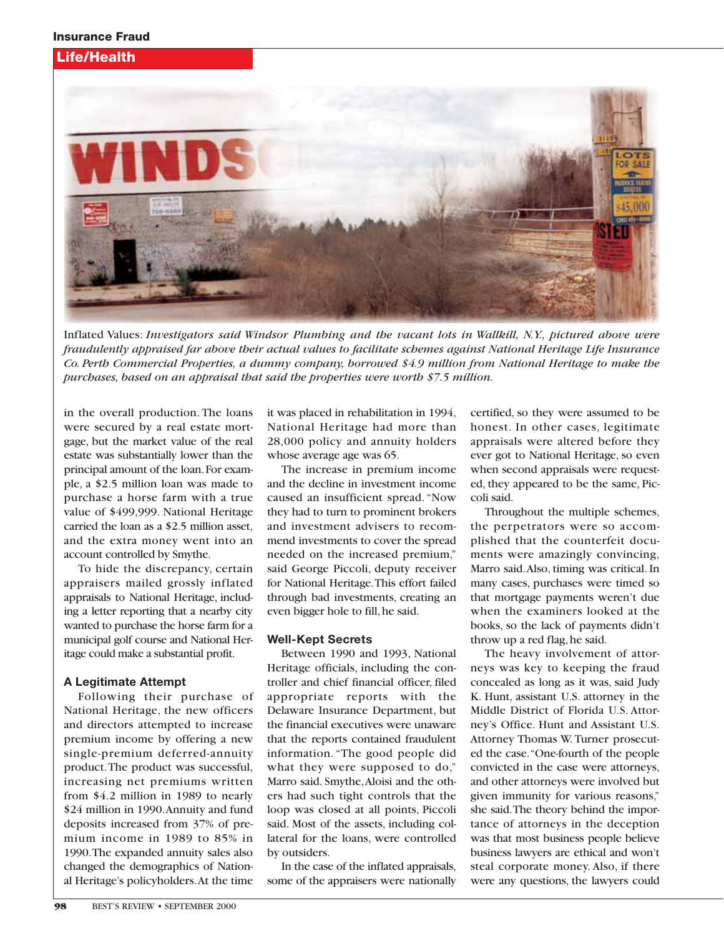# Life/Health



Inflated Values: *Investigators said Windsor Plumbing and the vacant lots in Wallkill, N.Y., pictured above were fraudulently appraised far above their actual values to facilitate schemes against National Heritage Life Insurance Co. Perth Commercial Properties, a dummy company, borrowed \$4.9 million from National Heritage to make the purchases, based on an appraisal that said the properties were worth \$7.5 million.*

in the overall production. The loans were secured by a real estate mortgage, but the market value of the real estate was substantially lower than the principal amount of the loan.For example, a \$2.5 million loan was made to purchase a horse farm with a true value of \$499,999. National Heritage carried the loan as a \$2.5 million asset, and the extra money went into an account controlled by Smythe.

To hide the discrepancy, certain appraisers mailed grossly inflated appraisals to National Heritage, including a letter reporting that a nearby city wanted to purchase the horse farm for a municipal golf course and National Heritage could make a substantial profit.

# **A Legitimate Attempt**

Following their purchase of National Heritage, the new officers and directors attempted to increase premium income by offering a new single-premium deferred-annuity product.The product was successful, increasing net premiums written from \$4.2 million in 1989 to nearly \$24 million in 1990.Annuity and fund deposits increased from 37% of premium income in 1989 to 85% in 1990.The expanded annuity sales also changed the demographics of National Heritage's policyholders.At the time

it was placed in rehabilitation in 1994, National Heritage had more than 28,000 policy and annuity holders whose average age was 65.

The increase in premium income and the decline in investment income caused an insufficient spread. "Now they had to turn to prominent brokers and investment advisers to recommend investments to cover the spread needed on the increased premium," said George Piccoli, deputy receiver for National Heritage.This effort failed through bad investments, creating an even bigger hole to fill, he said.

# **Well-Kept Secrets**

Between 1990 and 1993, National Heritage officials, including the controller and chief financial officer, filed appropriate reports with the Delaware Insurance Department, but the financial executives were unaware that the reports contained fraudulent information. "The good people did what they were supposed to do," Marro said. Smythe,Aloisi and the others had such tight controls that the loop was closed at all points, Piccoli said. Most of the assets, including collateral for the loans, were controlled by outsiders.

In the case of the inflated appraisals, some of the appraisers were nationally certified, so they were assumed to be honest. In other cases, legitimate appraisals were altered before they ever got to National Heritage, so even when second appraisals were requested, they appeared to be the same, Piccoli said.

Throughout the multiple schemes, the perpetrators were so accomplished that the counterfeit documents were amazingly convincing, Marro said.Also, timing was critical. In many cases, purchases were timed so that mortgage payments weren't due when the examiners looked at the books, so the lack of payments didn't throw up a red flag, he said.

The heavy involvement of attorneys was key to keeping the fraud concealed as long as it was, said Judy K. Hunt, assistant U.S. attorney in the Middle District of Florida U.S. Attorney's Office. Hunt and Assistant U.S. Attorney Thomas W. Turner prosecuted the case."One-fourth of the people convicted in the case were attorneys, and other attorneys were involved but given immunity for various reasons," she said.The theory behind the importance of attorneys in the deception was that most business people believe business lawyers are ethical and won't steal corporate money. Also, if there were any questions, the lawyers could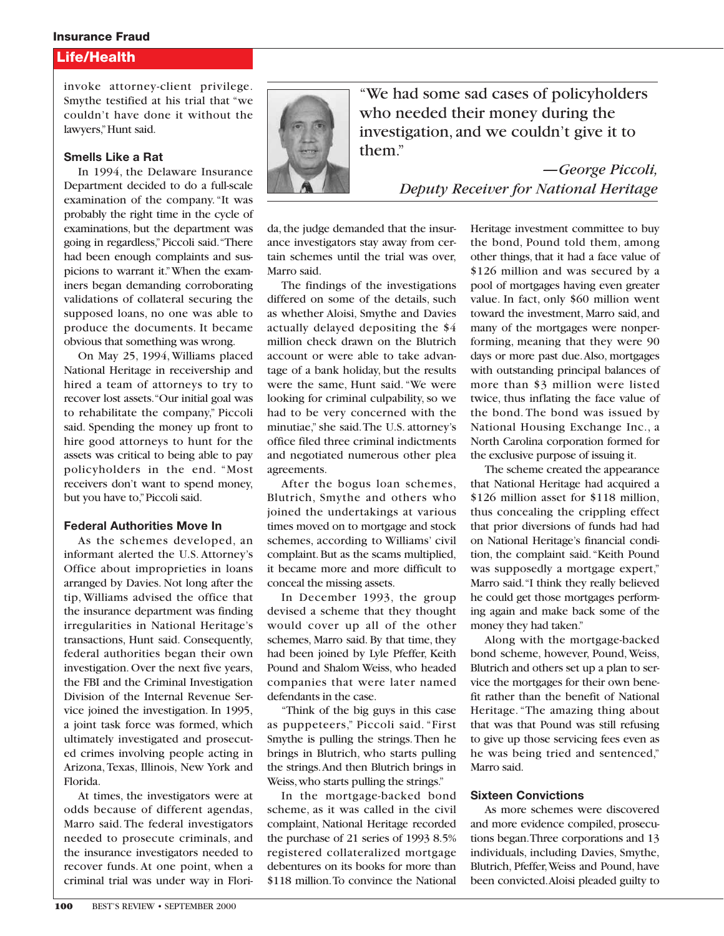#### Insurance Fraud

# Life/Health

invoke attorney-client privilege. Smythe testified at his trial that "we couldn't have done it without the lawyers,"Hunt said.

#### **Smells Like a Rat**

In 1994, the Delaware Insurance Department decided to do a full-scale examination of the company."It was probably the right time in the cycle of examinations, but the department was going in regardless," Piccoli said."There had been enough complaints and suspicions to warrant it."When the examiners began demanding corroborating validations of collateral securing the supposed loans, no one was able to produce the documents. It became obvious that something was wrong.

On May 25, 1994, Williams placed National Heritage in receivership and hired a team of attorneys to try to recover lost assets."Our initial goal was to rehabilitate the company," Piccoli said. Spending the money up front to hire good attorneys to hunt for the assets was critical to being able to pay policyholders in the end. "Most receivers don't want to spend money, but you have to,"Piccoli said.

#### **Federal Authorities Move In**

As the schemes developed, an informant alerted the U.S. Attorney's Office about improprieties in loans arranged by Davies. Not long after the tip, Williams advised the office that the insurance department was finding irregularities in National Heritage's transactions, Hunt said. Consequently, federal authorities began their own investigation. Over the next five years, the FBI and the Criminal Investigation Division of the Internal Revenue Service joined the investigation. In 1995, a joint task force was formed, which ultimately investigated and prosecuted crimes involving people acting in Arizona, Texas, Illinois, New York and Florida.

At times, the investigators were at odds because of different agendas, Marro said. The federal investigators needed to prosecute criminals, and the insurance investigators needed to recover funds. At one point, when a criminal trial was under way in Flori-



"We had some sad cases of policyholders who needed their money during the investigation, and we couldn't give it to them."

> *—George Piccoli, Deputy Receiver for National Heritage*

da, the judge demanded that the insurance investigators stay away from certain schemes until the trial was over, Marro said.

The findings of the investigations differed on some of the details, such as whether Aloisi, Smythe and Davies actually delayed depositing the \$4 million check drawn on the Blutrich account or were able to take advantage of a bank holiday, but the results were the same, Hunt said. "We were looking for criminal culpability, so we had to be very concerned with the minutiae," she said.The U.S. attorney's office filed three criminal indictments and negotiated numerous other plea agreements.

After the bogus loan schemes, Blutrich, Smythe and others who joined the undertakings at various times moved on to mortgage and stock schemes, according to Williams' civil complaint. But as the scams multiplied, it became more and more difficult to conceal the missing assets.

In December 1993, the group devised a scheme that they thought would cover up all of the other schemes, Marro said. By that time, they had been joined by Lyle Pfeffer, Keith Pound and Shalom Weiss, who headed companies that were later named defendants in the case.

"Think of the big guys in this case as puppeteers," Piccoli said. "First Smythe is pulling the strings.Then he brings in Blutrich, who starts pulling the strings.And then Blutrich brings in Weiss,who starts pulling the strings."

In the mortgage-backed bond scheme, as it was called in the civil complaint, National Heritage recorded the purchase of 21 series of 1993 8.5% registered collateralized mortgage debentures on its books for more than \$118 million.To convince the National Heritage investment committee to buy the bond, Pound told them, among other things, that it had a face value of \$126 million and was secured by a pool of mortgages having even greater value. In fact, only \$60 million went toward the investment, Marro said, and many of the mortgages were nonperforming, meaning that they were 90 days or more past due.Also, mortgages with outstanding principal balances of more than \$3 million were listed twice, thus inflating the face value of the bond. The bond was issued by National Housing Exchange Inc., a North Carolina corporation formed for the exclusive purpose of issuing it.

The scheme created the appearance that National Heritage had acquired a \$126 million asset for \$118 million, thus concealing the crippling effect that prior diversions of funds had had on National Heritage's financial condition, the complaint said."Keith Pound was supposedly a mortgage expert," Marro said."I think they really believed he could get those mortgages performing again and make back some of the money they had taken."

Along with the mortgage-backed bond scheme, however, Pound, Weiss, Blutrich and others set up a plan to service the mortgages for their own benefit rather than the benefit of National Heritage. "The amazing thing about that was that Pound was still refusing to give up those servicing fees even as he was being tried and sentenced," Marro said.

#### **Sixteen Convictions**

As more schemes were discovered and more evidence compiled, prosecutions began.Three corporations and 13 individuals, including Davies, Smythe, Blutrich, Pfeffer,Weiss and Pound, have been convicted.Aloisi pleaded guilty to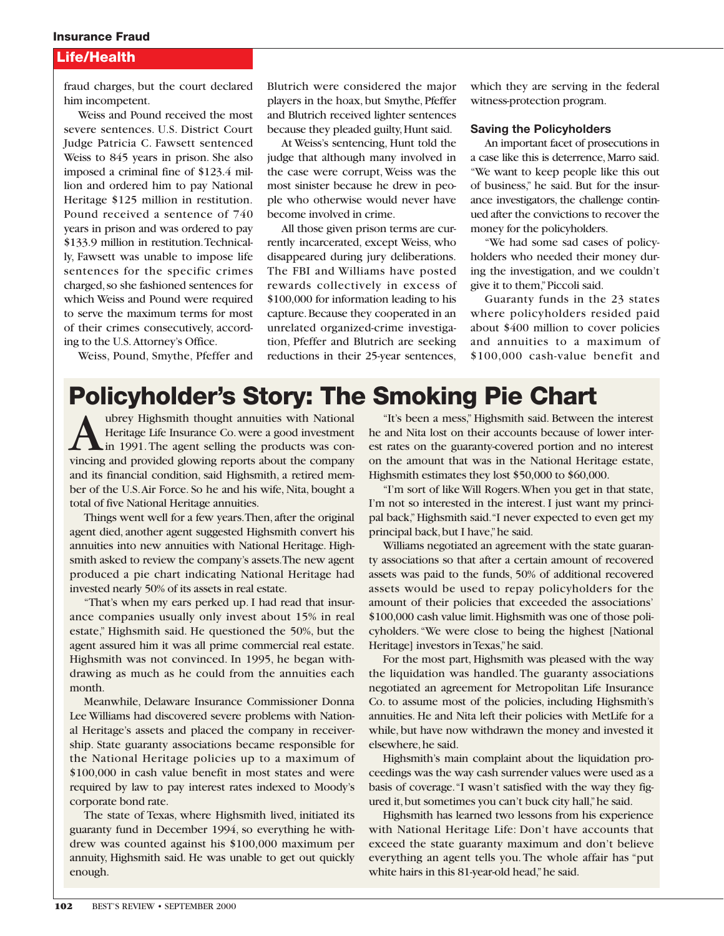#### Insurance Fraud

# Life/Health

fraud charges, but the court declared him incompetent.

Weiss and Pound received the most severe sentences. U.S. District Court Judge Patricia C. Fawsett sentenced Weiss to 845 years in prison. She also imposed a criminal fine of \$123.4 million and ordered him to pay National Heritage \$125 million in restitution. Pound received a sentence of 740 years in prison and was ordered to pay \$133.9 million in restitution.Technically, Fawsett was unable to impose life sentences for the specific crimes charged, so she fashioned sentences for which Weiss and Pound were required to serve the maximum terms for most of their crimes consecutively, according to the U.S.Attorney's Office.

Weiss, Pound, Smythe, Pfeffer and

Blutrich were considered the major players in the hoax, but Smythe, Pfeffer and Blutrich received lighter sentences because they pleaded guilty,Hunt said.

At Weiss's sentencing, Hunt told the judge that although many involved in the case were corrupt, Weiss was the most sinister because he drew in people who otherwise would never have become involved in crime.

All those given prison terms are currently incarcerated, except Weiss, who disappeared during jury deliberations. The FBI and Williams have posted rewards collectively in excess of \$100,000 for information leading to his capture.Because they cooperated in an unrelated organized-crime investigation, Pfeffer and Blutrich are seeking reductions in their 25-year sentences,

which they are serving in the federal witness-protection program.

#### **Saving the Policyholders**

An important facet of prosecutions in a case like this is deterrence,Marro said. "We want to keep people like this out of business," he said. But for the insurance investigators, the challenge continued after the convictions to recover the money for the policyholders.

"We had some sad cases of policyholders who needed their money during the investigation, and we couldn't give it to them,"Piccoli said.

Guaranty funds in the 23 states where policyholders resided paid about \$400 million to cover policies and annuities to a maximum of \$100,000 cash-value benefit and

# Policyholder's Story: The Smoking Pie Chart

Wherey Highsmith thought annuities with National<br>Heritage Life Insurance Co. were a good investment<br>in 1991. The agent selling the products was con-<br>vincing and provided glowing reports about the company Heritage Life Insurance Co. were a good investment vincing and provided glowing reports about the company and its financial condition, said Highsmith, a retired member of the U.S.Air Force. So he and his wife, Nita, bought a total of five National Heritage annuities.

Things went well for a few years. Then, after the original agent died, another agent suggested Highsmith convert his annuities into new annuities with National Heritage. Highsmith asked to review the company's assets.The new agent produced a pie chart indicating National Heritage had invested nearly 50% of its assets in real estate.

"That's when my ears perked up. I had read that insurance companies usually only invest about 15% in real estate," Highsmith said. He questioned the 50%, but the agent assured him it was all prime commercial real estate. Highsmith was not convinced. In 1995, he began withdrawing as much as he could from the annuities each month.

Meanwhile, Delaware Insurance Commissioner Donna Lee Williams had discovered severe problems with National Heritage's assets and placed the company in receivership. State guaranty associations became responsible for the National Heritage policies up to a maximum of \$100,000 in cash value benefit in most states and were required by law to pay interest rates indexed to Moody's corporate bond rate.

The state of Texas, where Highsmith lived, initiated its guaranty fund in December 1994, so everything he withdrew was counted against his \$100,000 maximum per annuity, Highsmith said. He was unable to get out quickly enough.

"It's been a mess," Highsmith said. Between the interest he and Nita lost on their accounts because of lower interest rates on the guaranty-covered portion and no interest on the amount that was in the National Heritage estate, Highsmith estimates they lost \$50,000 to \$60,000.

"I'm sort of like Will Rogers.When you get in that state, I'm not so interested in the interest. I just want my principal back,"Highsmith said."I never expected to even get my principal back, but I have," he said.

Williams negotiated an agreement with the state guaranty associations so that after a certain amount of recovered assets was paid to the funds, 50% of additional recovered assets would be used to repay policyholders for the amount of their policies that exceeded the associations' \$100,000 cash value limit.Highsmith was one of those policyholders."We were close to being the highest [National Heritage] investors in Texas,"he said.

For the most part, Highsmith was pleased with the way the liquidation was handled. The guaranty associations negotiated an agreement for Metropolitan Life Insurance Co. to assume most of the policies, including Highsmith's annuities. He and Nita left their policies with MetLife for a while, but have now withdrawn the money and invested it elsewhere, he said.

Highsmith's main complaint about the liquidation proceedings was the way cash surrender values were used as a basis of coverage."I wasn't satisfied with the way they figured it,but sometimes you can't buck city hall,"he said.

Highsmith has learned two lessons from his experience with National Heritage Life: Don't have accounts that exceed the state guaranty maximum and don't believe everything an agent tells you. The whole affair has "put white hairs in this 81-year-old head,"he said.